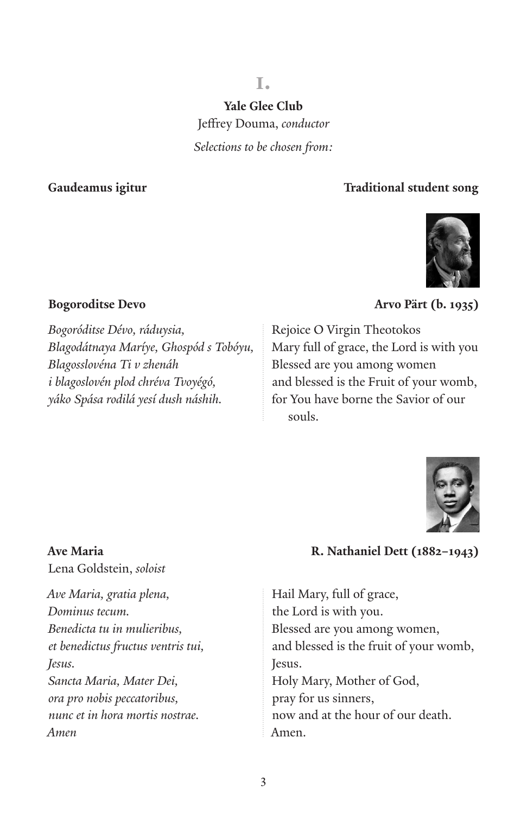### **i.**

**Yale Glee Club**

Jeffrey Douma, *conductor*

*Selections to be chosen from:*

### **Gaudeamus igitur Traditional student song**



*Bogoróditse Dévo, ráduysia, Blagodátnaya Maríye, Ghospód s Tobóyu, Blagosslovéna Ti v zhenáh i blagoslovén plod chréva Tvoyégó, yáko Spása rodilá yesí dush náshih.*

### **Bogoroditse Devo Arvo Pärt (b. 1935)**

Rejoice O Virgin Theotokos Mary full of grace, the Lord is with you Blessed are you among women and blessed is the Fruit of your womb, for You have borne the Savior of our souls.



**Ave Maria R. Nathaniel Dett (1882–1943)**

Hail Mary, full of grace, the Lord is with you. Blessed are you among women, and blessed is the fruit of your womb, Jesus. Holy Mary, Mother of God, pray for us sinners, now and at the hour of our death. Amen.

# Lena Goldstein, *soloist*

*Ave Maria, gratia plena, Dominus tecum. Benedicta tu in mulieribus, et benedictus fructus ventris tui, Jesus. Sancta Maria, Mater Dei, ora pro nobis peccatoribus, nunc et in hora mortis nostrae. Amen*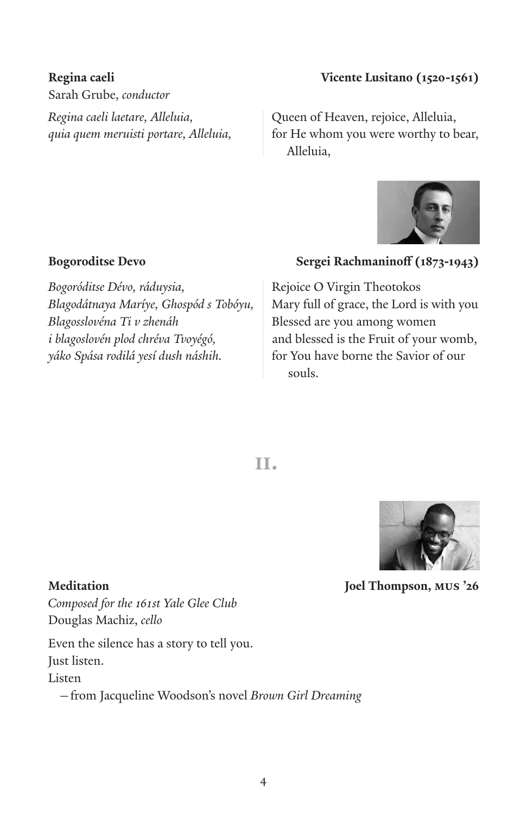Sarah Grube, *conductor Regina caeli laetare, Alleluia, quia quem meruisti portare, Alleluia,* 

### **Regina caeli Vicente Lusitano (1520-1561)**

Queen of Heaven, rejoice, Alleluia, for He whom you were worthy to bear, Alleluia,



*Bogoróditse Dévo, ráduysia, Blagodátnaya Maríye, Ghospód s Tobóyu, Blagosslovéna Ti v zhenáh i blagoslovén plod chréva Tvoyégó, yáko Spása rodilá yesí dush náshih.*

### **Bogoroditse Devo Sergei Rachmaninoff (1873-1943)**

Rejoice O Virgin Theotokos Mary full of grace, the Lord is with you Blessed are you among women and blessed is the Fruit of your womb, for You have borne the Savior of our souls.

 **ii.**



**Meditation Joel Thompson, mus '26**

*Composed for the 161st Yale Glee Club* Douglas Machiz, *cello*

Even the silence has a story to tell you. Just listen.

Listen

—from Jacqueline Woodson's novel *Brown Girl Dreaming*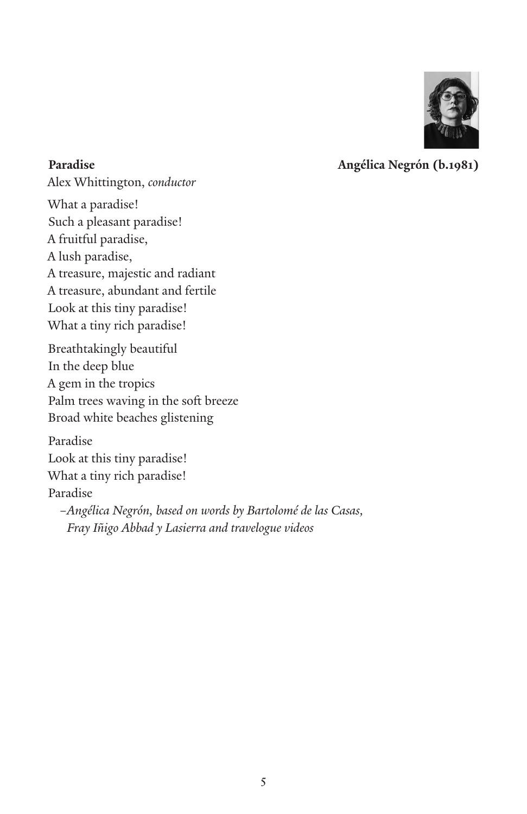

**Paradise Angélica Negrón (b.1981)**

Alex Whittington, *conductor* What a paradise! Such a pleasant paradise! A fruitful paradise, A lush paradise, A treasure, majestic and radiant A treasure, abundant and fertile Look at this tiny paradise! What a tiny rich paradise! Breathtakingly beautiful In the deep blue A gem in the tropics Palm trees waving in the soft breeze

Broad white beaches glistening

Paradise Look at this tiny paradise! What a tiny rich paradise! Paradise *–Angélica Negrón, based on words by Bartolomé de las Casas, Fray Iñigo Abbad y Lasierra and travelogue videos*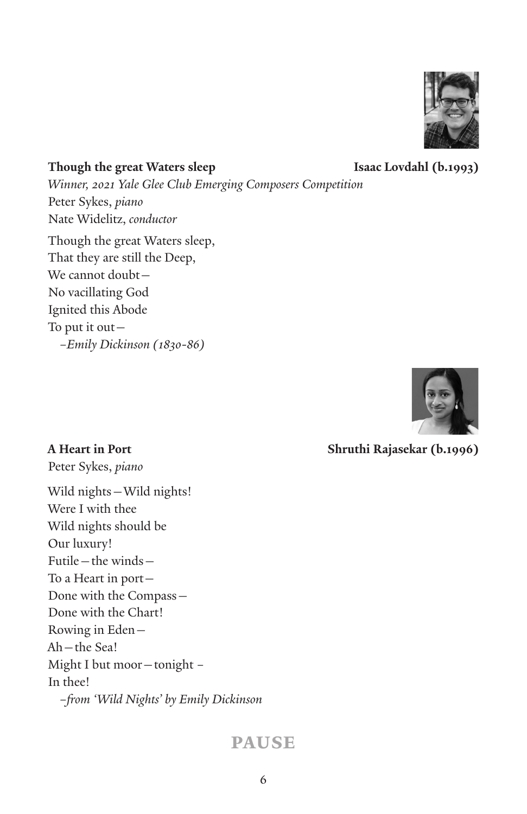

**Though the great Waters sleep Isaac Lovdahl (b.1993)** *Winner, 2021 Yale Glee Club Emerging Composers Competition* Peter Sykes, *piano* Nate Widelitz, *conductor* Though the great Waters sleep, That they are still the Deep, We cannot doubt— No vacillating God Ignited this Abode To put it out— *–Emily Dickinson (1830-86)*



**A Heart in Port Shruthi Rajasekar (b.1996)**

Peter Sykes, *piano*

Wild nights—Wild nights! Were I with thee Wild nights should be Our luxury! Futile—the winds— To a Heart in port— Done with the Compass— Done with the Chart! Rowing in Eden— Ah—the Sea! Might I but moor—tonight – In thee! *–from 'Wild Nights' by Emily Dickinson*

### **pause**

6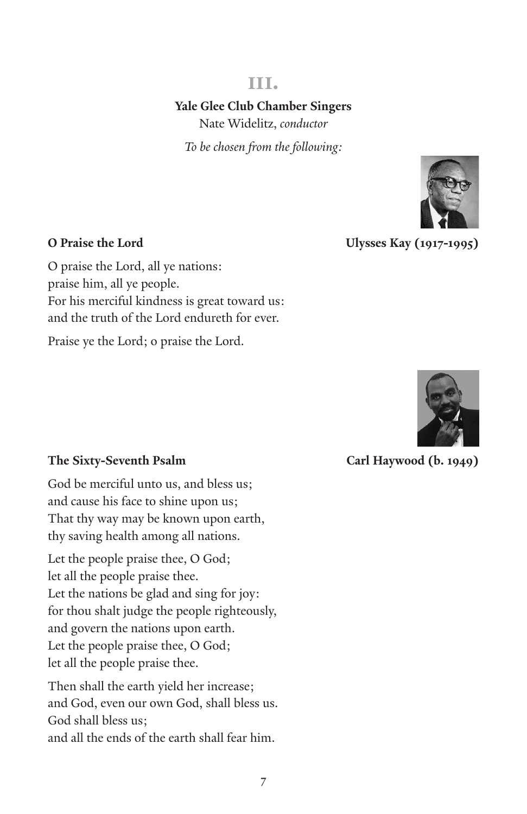### **iii.**

### **Yale Glee Club Chamber Singers**

Nate Widelitz, *conductor*

*To be chosen from the following:*



**O Praise the Lord Ulysses Kay (1917-1995)** 

O praise the Lord, all ye nations: praise him, all ye people. For his merciful kindness is great toward us: and the truth of the Lord endureth for ever.

Praise ye the Lord; o praise the Lord.



### **The Sixty-Seventh Psalm Carl Haywood (b. 1949)**

God be merciful unto us, and bless us; and cause his face to shine upon us; That thy way may be known upon earth, thy saving health among all nations.

Let the people praise thee, O God; let all the people praise thee. Let the nations be glad and sing for joy: for thou shalt judge the people righteously, and govern the nations upon earth. Let the people praise thee, O God; let all the people praise thee.

Then shall the earth yield her increase; and God, even our own God, shall bless us. God shall bless us; and all the ends of the earth shall fear him.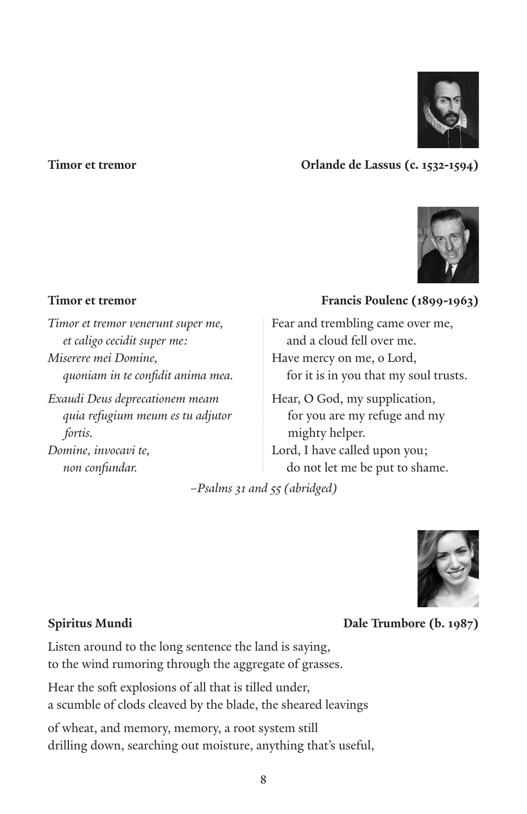

### **Timor et tremor Orlande de Lassus (c. 1532-1594)**



*Timor et tremor venerunt super me, et caligo cecidit super me: Miserere mei Domine, quoniam in te confidit anima mea.*

*Exaudi Deus deprecationem meam quia refugium meum es tu adjutor fortis.*

*Domine, invocavi te, non confundar.*

### **Timor et tremor** Francis Poulenc (1899-1963)

Fear and trembling came over me, and a cloud fell over me. Have mercy on me, o Lord, for it is in you that my soul trusts.

Hear, O God, my supplication, for you are my refuge and my mighty helper. Lord, I have called upon you; do not let me be put to shame.

*–Psalms 31 and 55 (abridged)*



### **Spiritus Mundi Dale Trumbore (b. 1987)**

Listen around to the long sentence the land is saying, to the wind rumoring through the aggregate of grasses.

Hear the soft explosions of all that is tilled under, a scumble of clods cleaved by the blade, the sheared leavings

of wheat, and memory, memory, a root system still drilling down, searching out moisture, anything that's useful,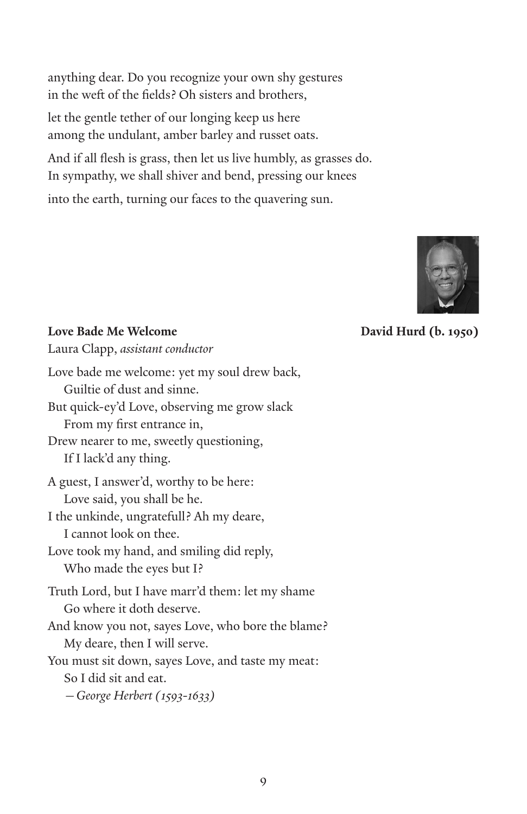anything dear. Do you recognize your own shy gestures in the weft of the fields? Oh sisters and brothers,

let the gentle tether of our longing keep us here among the undulant, amber barley and russet oats.

And if all flesh is grass, then let us live humbly, as grasses do. In sympathy, we shall shiver and bend, pressing our knees

into the earth, turning our faces to the quavering sun.



**Love Bade Me Welcome David Hurd (b. 1950)**

Laura Clapp, *assistant conductor* 

| Love bade me welcome: yet my soul drew back,      |
|---------------------------------------------------|
| Guiltie of dust and sinne.                        |
| But quick-ey'd Love, observing me grow slack      |
| From my first entrance in,                        |
| Drew nearer to me, sweetly questioning,           |
| If I lack'd any thing.                            |
| A guest, I answer'd, worthy to be here:           |
| Love said, you shall be he.                       |
| I the unkinde, ungratefull? Ah my deare,          |
| I cannot look on thee.                            |
| Love took my hand, and smiling did reply,         |
| Who made the eyes but I?                          |
| Truth Lord, but I have marr'd them: let my shame  |
| Go where it doth deserve.                         |
| And know you not, sayes Love, who bore the blame? |
| My deare, then I will serve.                      |
| You must sit down, sayes Love, and taste my meat: |
| So I did sit and eat.                             |
| - George Herbert (1593-1633)                      |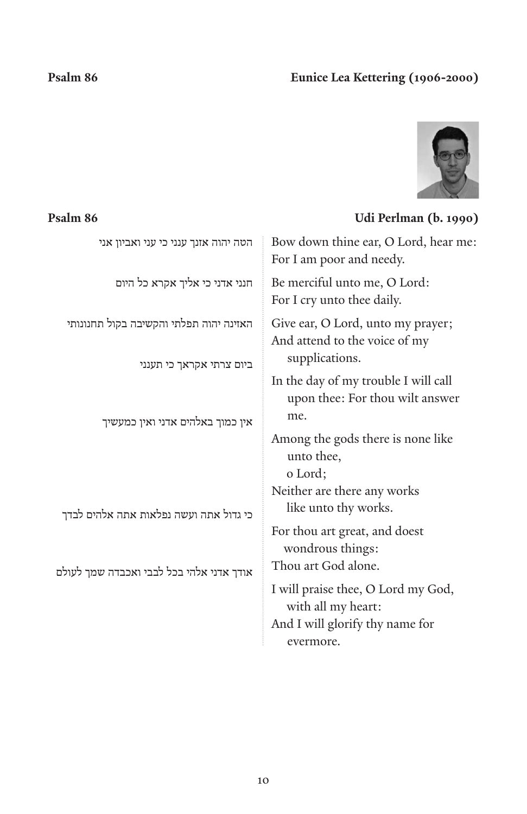### **Psalm 86 Eunice Lea Kettering (1906-2000)**



### **Psalm 86 Udi Perlman (b. 1990)**

| הטה יהוה אזנך ענני כי עני ואביון אני                                       | Bow down thine ear, O Lord, hear me:<br>For I am poor and needy.                                         |
|----------------------------------------------------------------------------|----------------------------------------------------------------------------------------------------------|
| חנני אדני כי אליך אקרא כל היום                                             | Be merciful unto me, O Lord:<br>For I cry unto thee daily.                                               |
| האזינה יהוה תפלתי והקשיבה בקול תחנונותי<br>ביום צרתי אקראך כי תענני        | Give ear, O Lord, unto my prayer;<br>And attend to the voice of my<br>supplications.                     |
| אין כמוך באלהים אדני ואין כמעשיך<br>כי גדול אתה ועשה נפלאות אתה אלהים לבדך | In the day of my trouble I will call<br>upon thee: For thou wilt answer<br>me.                           |
|                                                                            | Among the gods there is none like<br>unto thee,<br>o Lord;                                               |
|                                                                            | Neither are there any works<br>like unto thy works.                                                      |
|                                                                            | For thou art great, and doest<br>wondrous things:                                                        |
| אודך אדני אלהי בכל לבבי ואכבדה שמך לעולם                                   | Thou art God alone.                                                                                      |
|                                                                            | I will praise thee, O Lord my God,<br>with all my heart:<br>And I will glorify thy name for<br>evermore. |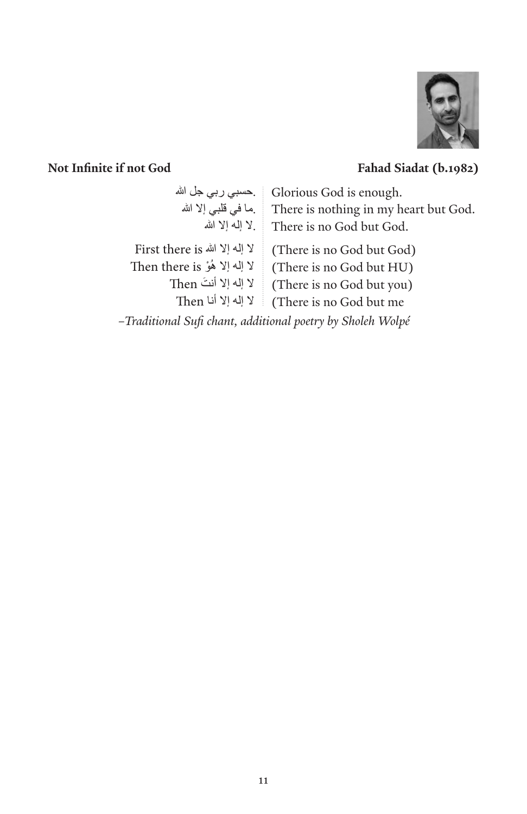

### **Not Infinite if not God Fahad Siadat (b.1982)**

| ِحسبی ربی جل الله                                          | Glorious God is enough.               |  |
|------------------------------------------------------------|---------------------------------------|--|
| ما في قلبي إلا الله                                        | There is nothing in my heart but God. |  |
| لا إله إلا الله                                            | There is no God but God.              |  |
| لا إله إلا الله First there is                             | (There is no God but God)             |  |
| لا إله إلا هُوْ Then there is                              | (There is no God but HU)              |  |
| لا إله إلا أنتَ Then                                       | (There is no God but you)             |  |
| لا إله إلا أنا Then                                        | (There is no God but me)              |  |
| -Traditional Sufi chant, additional poetry by Sholeh Wolpé |                                       |  |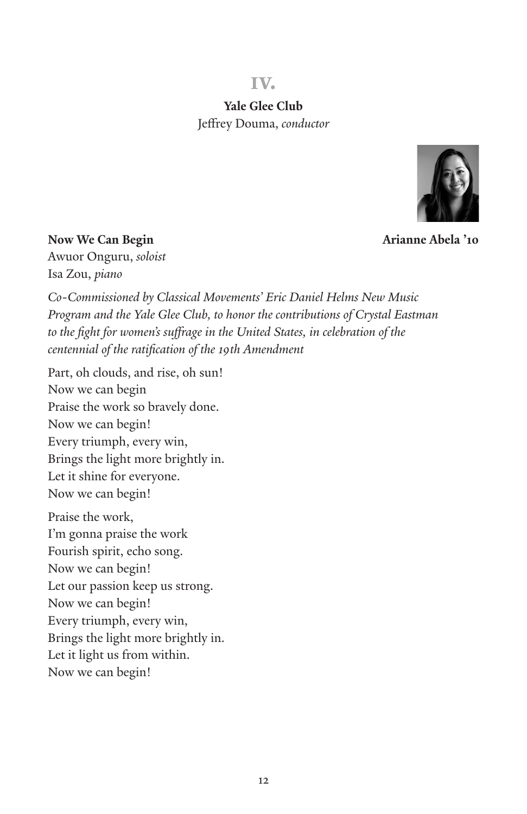### **iv.**

**Yale Glee Club** Jeffrey Douma, *conductor*



**Now We Can Begin Arianne Abela** '10

Awuor Onguru, *soloist* Isa Zou, *piano*

*Co-Commissioned by Classical Movements' Eric Daniel Helms New Music*  Program and the Yale Glee Club, to honor the contributions of Crystal Eastman to the fight for women's suffrage in the United States, in celebration of the *centennial of the ratification of the 19th Amendment*

Part, oh clouds, and rise, oh sun! Now we can begin Praise the work so bravely done. Now we can begin! Every triumph, every win, Brings the light more brightly in. Let it shine for everyone. Now we can begin! Praise the work, I'm gonna praise the work Fourish spirit, echo song. Now we can begin! Let our passion keep us strong. Now we can begin! Every triumph, every win, Brings the light more brightly in.

Let it light us from within.

Now we can begin!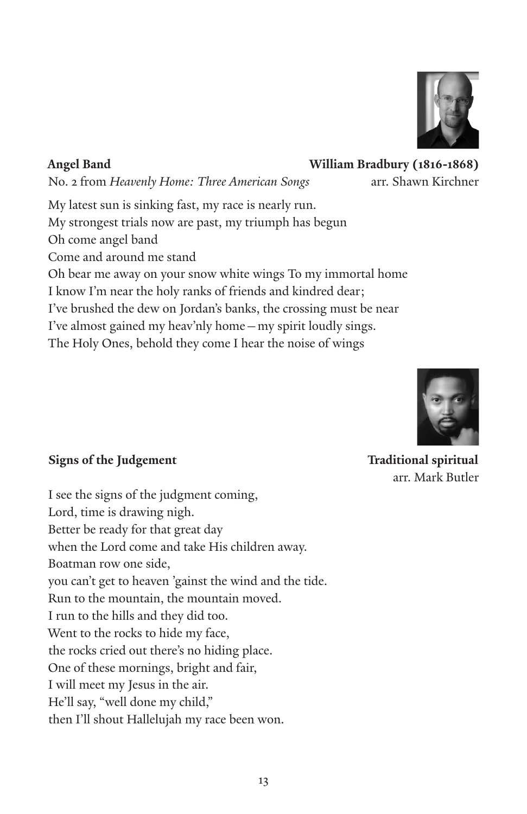

**Angel Band William Bradbury (1816-1868)** 

No. 2 from Heavenly Home: Three American Songs arr. Shawn Kirchner

My latest sun is sinking fast, my race is nearly run. My strongest trials now are past, my triumph has begun Oh come angel band Come and around me stand Oh bear me away on your snow white wings To my immortal home I know I'm near the holy ranks of friends and kindred dear; I've brushed the dew on Jordan's banks, the crossing must be near I've almost gained my heav'nly home—my spirit loudly sings. The Holy Ones, behold they come I hear the noise of wings



# arr. Mark Butler

### **Signs of the Judgement Community Community Community Community Community Community Community Community Community Community Community Community Community Community Community Community Community Community Community Communit**

I see the signs of the judgment coming, Lord, time is drawing nigh. Better be ready for that great day when the Lord come and take His children away. Boatman row one side, you can't get to heaven 'gainst the wind and the tide. Run to the mountain, the mountain moved. I run to the hills and they did too. Went to the rocks to hide my face, the rocks cried out there's no hiding place. One of these mornings, bright and fair, I will meet my Jesus in the air. He'll say, "well done my child," then I'll shout Hallelujah my race been won.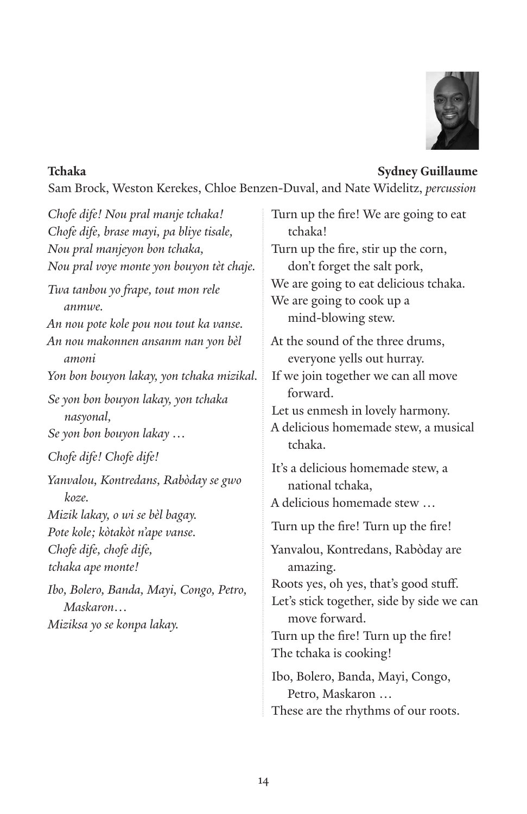

### **Tchaka Sydney Guillaume**

Sam Brock, Weston Kerekes, Chloe Benzen-Duval, and Nate Widelitz, *percussion*

*Chofe dife! Nou pral manje tchaka! Chofe dife, brase mayi, pa bliye tisale, Nou pral manjeyon bon tchaka, Nou pral voye monte yon bouyon tèt chaje. Twa tanbou yo frape, tout mon rele anmwe. An nou pote kole pou nou tout ka vanse. An nou makonnen ansanm nan yon bèl amoni Yon bon bouyon lakay, yon tchaka mizikal. Se yon bon bouyon lakay, yon tchaka nasyonal, Se yon bon bouyon lakay … Chofe dife! Chofe dife! Yanvalou, Kontredans, Rabòday se gwo koze. Mizik lakay, o wi se bèl bagay. Pote kole; kòtakòt n'ape vanse. Chofe dife, chofe dife, tchaka ape monte! Ibo, Bolero, Banda, Mayi, Congo, Petro, Maskaron… Miziksa yo se konpa lakay.*

Turn up the fire! We are going to eat tchaka! Turn up the fire, stir up the corn, don't forget the salt pork, We are going to eat delicious tchaka. We are going to cook up a mind-blowing stew. At the sound of the three drums, everyone yells out hurray. If we join together we can all move forward. Let us enmesh in lovely harmony. A delicious homemade stew, a musical tchaka. It's a delicious homemade stew, a national tchaka, A delicious homemade stew … Turn up the fire! Turn up the fire! Yanvalou, Kontredans, Rabòday are amazing. Roots yes, oh yes, that's good stuff. Let's stick together, side by side we can move forward. Turn up the fire! Turn up the fire! The tchaka is cooking! Ibo, Bolero, Banda, Mayi, Congo, Petro, Maskaron … These are the rhythms of our roots.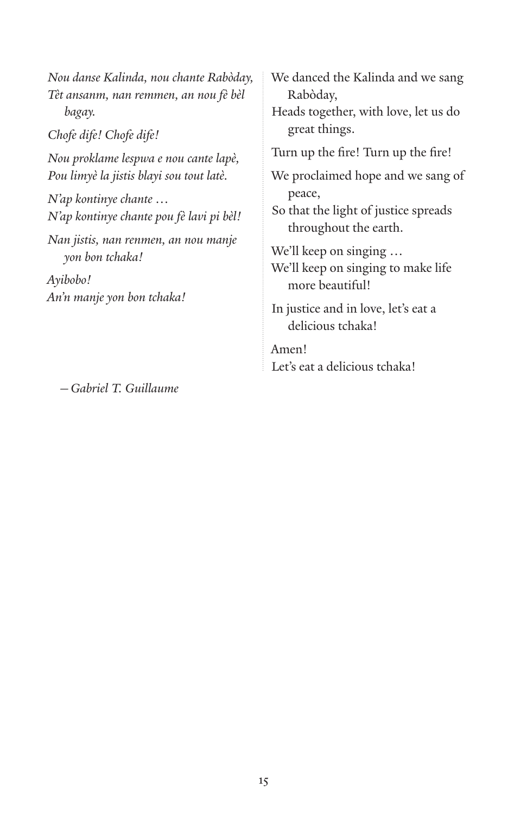*Nou danse Kalinda, nou chante Rabòday, Tèt ansanm, nan remmen, an nou fè bèl bagay. Chofe dife! Chofe dife! Nou proklame lespwa e nou cante lapè, Pou limyè la jistis blayi sou tout latè. N'ap kontinye chante … N'ap kontinye chante pou fè lavi pi bèl! Nan jistis, nan renmen, an nou manje yon bon tchaka! Ayibobo!*

*—Gabriel T. Guillaume*

*An'n manje yon bon tchaka!*

We danced the Kalinda and we sang Rabòday, Heads together, with love, let us do great things. Turn up the fire! Turn up the fire! We proclaimed hope and we sang of peace, So that the light of justice spreads throughout the earth. We'll keep on singing … We'll keep on singing to make life more beautiful! In justice and in love, let's eat a delicious tchaka! Amen! Let's eat a delicious tchaka!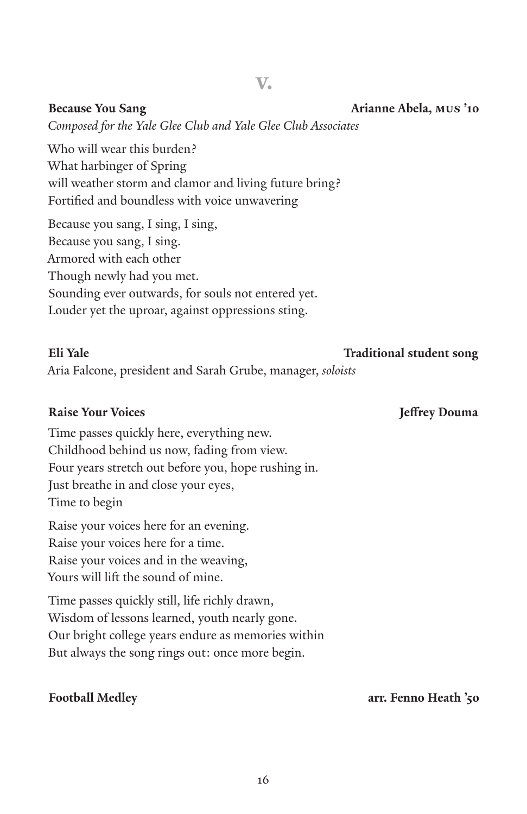**v.**

*Composed for the Yale Glee Club and Yale Glee Club Associates*

Who will wear this burden? What harbinger of Spring will weather storm and clamor and living future bring? Fortified and boundless with voice unwavering

Because you sang, I sing, I sing, Because you sang, I sing. Armored with each other Though newly had you met. Sounding ever outwards, for souls not entered yet. Louder yet the uproar, against oppressions sting.

### **Eli Yale Traditional student song**

### Aria Falcone, president and Sarah Grube, manager, *soloists*

### **Raise Your Voices Jeffrey Douma**

Time passes quickly here, everything new. Childhood behind us now, fading from view. Four years stretch out before you, hope rushing in. Just breathe in and close your eyes, Time to begin

Raise your voices here for an evening. Raise your voices here for a time. Raise your voices and in the weaving, Yours will lift the sound of mine.

Time passes quickly still, life richly drawn, Wisdom of lessons learned, youth nearly gone. Our bright college years endure as memories within But always the song rings out: once more begin.

**Football Medley arr. Fenno Heath '50**

**Because You Sang Arianne Abela, mus '10**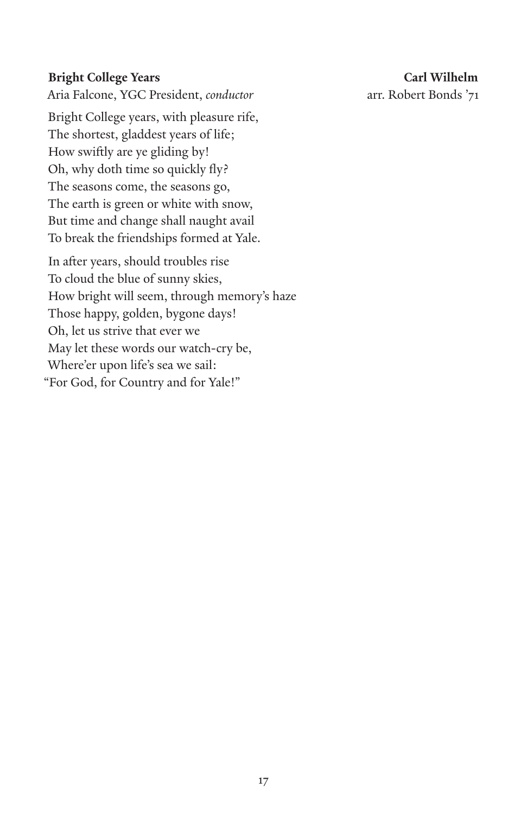Aria Falcone, YGC President, *conductor* arr. Robert Bonds '71

Bright College years, with pleasure rife, The shortest, gladdest years of life; How swiftly are ye gliding by! Oh, why doth time so quickly fly? The seasons come, the seasons go, The earth is green or white with snow, But time and change shall naught avail To break the friendships formed at Yale.

In after years, should troubles rise To cloud the blue of sunny skies, How bright will seem, through memory's haze Those happy, golden, bygone days! Oh, let us strive that ever we May let these words our watch-cry be, Where'er upon life's sea we sail: "For God, for Country and for Yale!"

**Bright College Years Carl Wilhelm**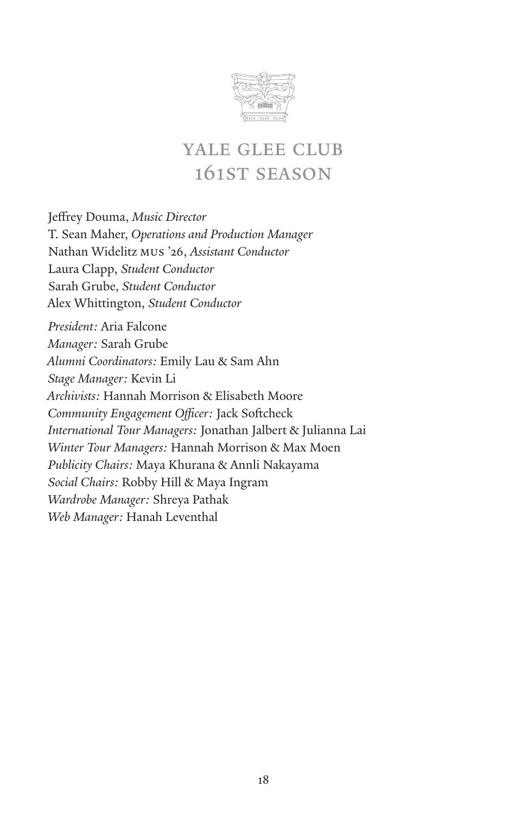

## yale glee club 161st season

Jeffrey Douma, *Music Director* T. Sean Maher, *Operations and Production Manager* Nathan Widelitz mus '26, *Assistant Conductor* Laura Clapp, *Student Conductor* Sarah Grube, *Student Conductor* Alex Whittington, *Student Conductor President:* Aria Falcone *Manager:* Sarah Grube *Alumni Coordinators:* Emily Lau & Sam Ahn *Stage Manager:* Kevin Li *Archivists:* Hannah Morrison & Elisabeth Moore *Community Engagement Officer:* Jack Softcheck *International Tour Managers:* Jonathan Jalbert & Julianna Lai *Winter Tour Managers:* Hannah Morrison & Max Moen *Publicity Chairs:* Maya Khurana & Annli Nakayama *Social Chairs:* Robby Hill & Maya Ingram *Wardrobe Manager:* Shreya Pathak *Web Manager:* Hanah Leventhal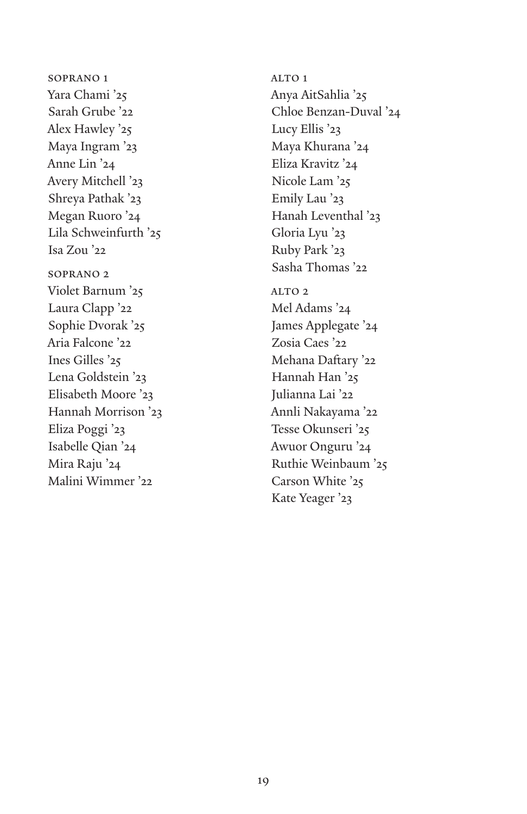soprano 1 Yara Chami '25 Sarah Grube '22 Alex Hawley '25 Maya Ingram '23 Anne Lin '24 Avery Mitchell '23 Shreya Pathak '23 Megan Ruoro '24 Lila Schweinfurth '25 Isa Zou '22 soprano 2 Violet Barnum '25 Laura Clapp '22 Sophie Dvorak '25 Aria Falcone '22 Ines Gilles '25 Lena Goldstein '23 Elisabeth Moore '23 Hannah Morrison '23 Eliza Poggi '23 Isabelle Qian '24 Mira Raju '24 Malini Wimmer '22

ALTO 1 Anya AitSahlia '25 Chloe Benzan-Duval '24 Lucy Ellis '23 Maya Khurana '24 Eliza Kravitz '24 Nicole Lam '25 Emily Lau '23 Hanah Leventhal '23 Gloria Lyu '23 Ruby Park '23 Sasha Thomas '22 ALTO<sub>2</sub> Mel Adams '24 James Applegate '24 Zosia Caes '22 Mehana Daftary '22 Hannah Han '25 Julianna Lai '22 Annli Nakayama '22 Tesse Okunseri '25 Awuor Onguru '24 Ruthie Weinbaum '25 Carson White '25 Kate Yeager '23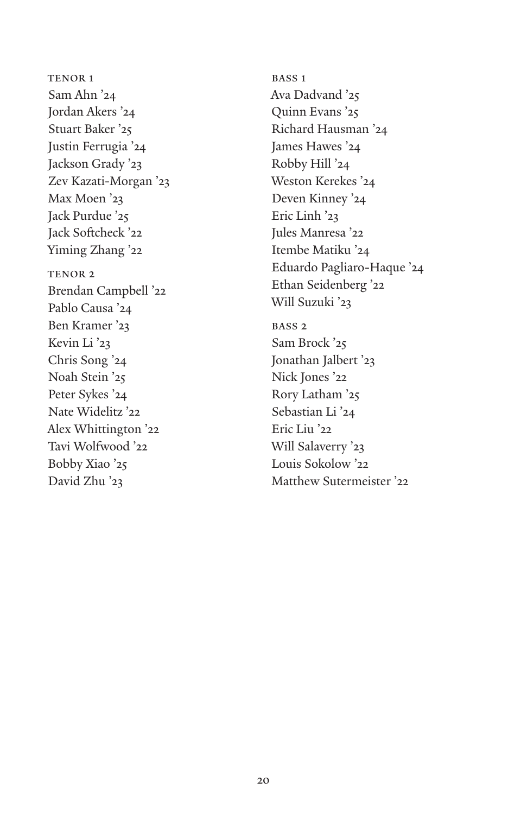TENOR 1 Sam Ahn '24 Jordan Akers '24 Stuart Baker '25 Justin Ferrugia '24 Jackson Grady '23 Zev Kazati-Morgan '23 Max Moen '23 Jack Purdue '25 Jack Softcheck '22 Yiming Zhang '22 TENOR 2 Brendan Campbell '22 Pablo Causa '24 Ben Kramer '23 Kevin Li '23 Chris Song '24 Noah Stein '25 Peter Sykes '24 Nate Widelitz '22 Alex Whittington '22 Tavi Wolfwood '22 Bobby Xiao '25 David Zhu '23

BASS<sub>1</sub> Ava Dadvand '25 Quinn Evans '25 Richard Hausman '24 James Hawes '24 Robby Hill '24 Weston Kerekes '24 Deven Kinney '24 Eric Linh '23 Jules Manresa '22 Itembe Matiku '24 Eduardo Pagliaro-Haque '24 Ethan Seidenberg '22 Will Suzuki '23 BASS<sub>2</sub> Sam Brock '25 Jonathan Jalbert '23 Nick Jones '22 Rory Latham '25 Sebastian Li '24 Eric Liu '22 Will Salaverry '23 Louis Sokolow '22 Matthew Sutermeister '22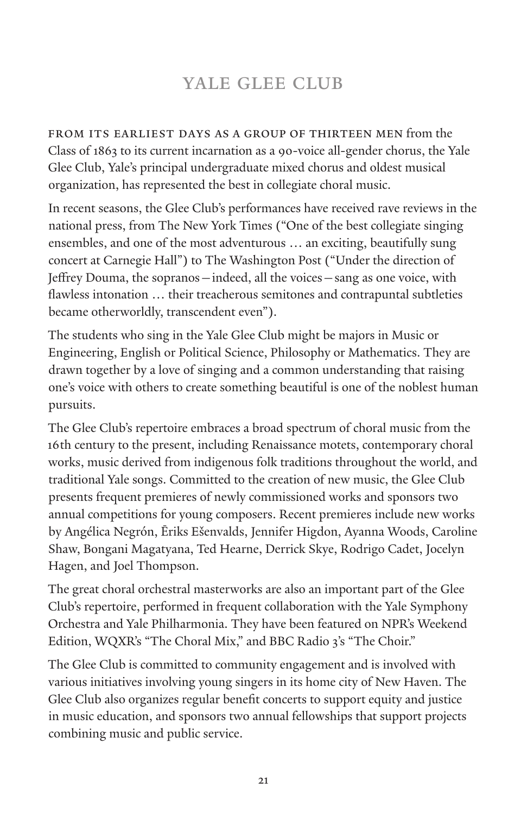## YALE GLEE CLUB

from its earliest days as a group of thirteen men from the Class of 1863 to its current incarnation as a 90-voice all-gender chorus, the Yale Glee Club, Yale's principal undergraduate mixed chorus and oldest musical organization, has represented the best in collegiate choral music.

In recent seasons, the Glee Club's performances have received rave reviews in the national press, from The New York Times ("One of the best collegiate singing ensembles, and one of the most adventurous … an exciting, beautifully sung concert at Carnegie Hall") to The Washington Post ("Under the direction of Jeffrey Douma, the sopranos—indeed, all the voices—sang as one voice, with flawless intonation … their treacherous semitones and contrapuntal subtleties became otherworldly, transcendent even").

The students who sing in the Yale Glee Club might be majors in Music or Engineering, English or Political Science, Philosophy or Mathematics. They are drawn together by a love of singing and a common understanding that raising one's voice with others to create something beautiful is one of the noblest human pursuits.

The Glee Club's repertoire embraces a broad spectrum of choral music from the 16th century to the present, including Renaissance motets, contemporary choral works, music derived from indigenous folk traditions throughout the world, and traditional Yale songs. Committed to the creation of new music, the Glee Club presents frequent premieres of newly commissioned works and sponsors two annual competitions for young composers. Recent premieres include new works by Angélica Negrón, Ēriks Ešenvalds, Jennifer Higdon, Ayanna Woods, Caroline Shaw, Bongani Magatyana, Ted Hearne, Derrick Skye, Rodrigo Cadet, Jocelyn Hagen, and Joel Thompson.

The great choral orchestral masterworks are also an important part of the Glee Club's repertoire, performed in frequent collaboration with the Yale Symphony Orchestra and Yale Philharmonia. They have been featured on NPR's Weekend Edition, WQXR's "The Choral Mix," and BBC Radio 3's "The Choir."

The Glee Club is committed to community engagement and is involved with various initiatives involving young singers in its home city of New Haven. The Glee Club also organizes regular benefit concerts to support equity and justice in music education, and sponsors two annual fellowships that support projects combining music and public service.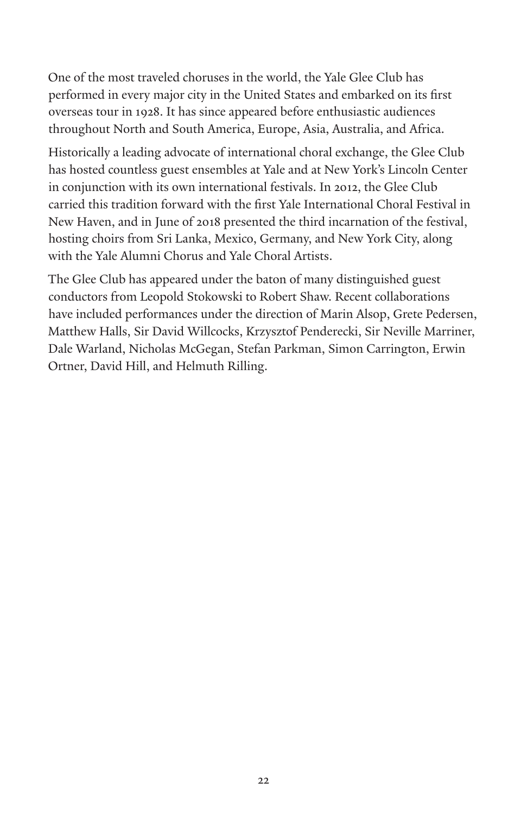One of the most traveled choruses in the world, the Yale Glee Club has performed in every major city in the United States and embarked on its first overseas tour in 1928. It has since appeared before enthusiastic audiences throughout North and South America, Europe, Asia, Australia, and Africa.

Historically a leading advocate of international choral exchange, the Glee Club has hosted countless guest ensembles at Yale and at New York's Lincoln Center in conjunction with its own international festivals. In 2012, the Glee Club carried this tradition forward with the first Yale International Choral Festival in New Haven, and in June of 2018 presented the third incarnation of the festival, hosting choirs from Sri Lanka, Mexico, Germany, and New York City, along with the Yale Alumni Chorus and Yale Choral Artists.

The Glee Club has appeared under the baton of many distinguished guest conductors from Leopold Stokowski to Robert Shaw. Recent collaborations have included performances under the direction of Marin Alsop, Grete Pedersen, Matthew Halls, Sir David Willcocks, Krzysztof Penderecki, Sir Neville Marriner, Dale Warland, Nicholas McGegan, Stefan Parkman, Simon Carrington, Erwin Ortner, David Hill, and Helmuth Rilling.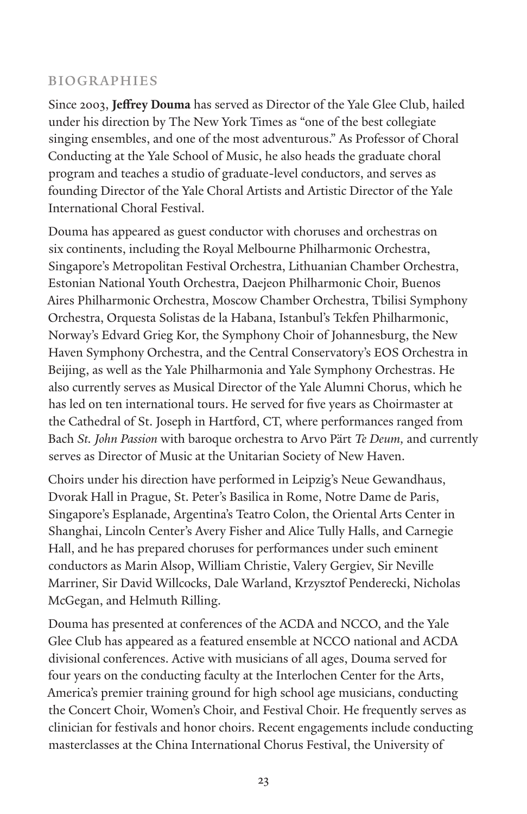### biographies

Since 2003, **Jeffrey Douma** has served as Director of the Yale Glee Club, hailed under his direction by The New York Times as "one of the best collegiate singing ensembles, and one of the most adventurous." As Professor of Choral Conducting at the Yale School of Music, he also heads the graduate choral program and teaches a studio of graduate-level conductors, and serves as founding Director of the Yale Choral Artists and Artistic Director of the Yale International Choral Festival.

Douma has appeared as guest conductor with choruses and orchestras on six continents, including the Royal Melbourne Philharmonic Orchestra, Singapore's Metropolitan Festival Orchestra, Lithuanian Chamber Orchestra, Estonian National Youth Orchestra, Daejeon Philharmonic Choir, Buenos Aires Philharmonic Orchestra, Moscow Chamber Orchestra, Tbilisi Symphony Orchestra, Orquesta Solistas de la Habana, Istanbul's Tekfen Philharmonic, Norway's Edvard Grieg Kor, the Symphony Choir of Johannesburg, the New Haven Symphony Orchestra, and the Central Conservatory's EOS Orchestra in Beijing, as well as the Yale Philharmonia and Yale Symphony Orchestras. He also currently serves as Musical Director of the Yale Alumni Chorus, which he has led on ten international tours. He served for five years as Choirmaster at the Cathedral of St. Joseph in Hartford, CT, where performances ranged from Bach *St. John Passion* with baroque orchestra to Arvo Pärt *Te Deum,* and currently serves as Director of Music at the Unitarian Society of New Haven.

Choirs under his direction have performed in Leipzig's Neue Gewandhaus, Dvorak Hall in Prague, St. Peter's Basilica in Rome, Notre Dame de Paris, Singapore's Esplanade, Argentina's Teatro Colon, the Oriental Arts Center in Shanghai, Lincoln Center's Avery Fisher and Alice Tully Halls, and Carnegie Hall, and he has prepared choruses for performances under such eminent conductors as Marin Alsop, William Christie, Valery Gergiev, Sir Neville Marriner, Sir David Willcocks, Dale Warland, Krzysztof Penderecki, Nicholas McGegan, and Helmuth Rilling.

Douma has presented at conferences of the ACDA and NCCO, and the Yale Glee Club has appeared as a featured ensemble at NCCO national and ACDA divisional conferences. Active with musicians of all ages, Douma served for four years on the conducting faculty at the Interlochen Center for the Arts, America's premier training ground for high school age musicians, conducting the Concert Choir, Women's Choir, and Festival Choir. He frequently serves as clinician for festivals and honor choirs. Recent engagements include conducting masterclasses at the China International Chorus Festival, the University of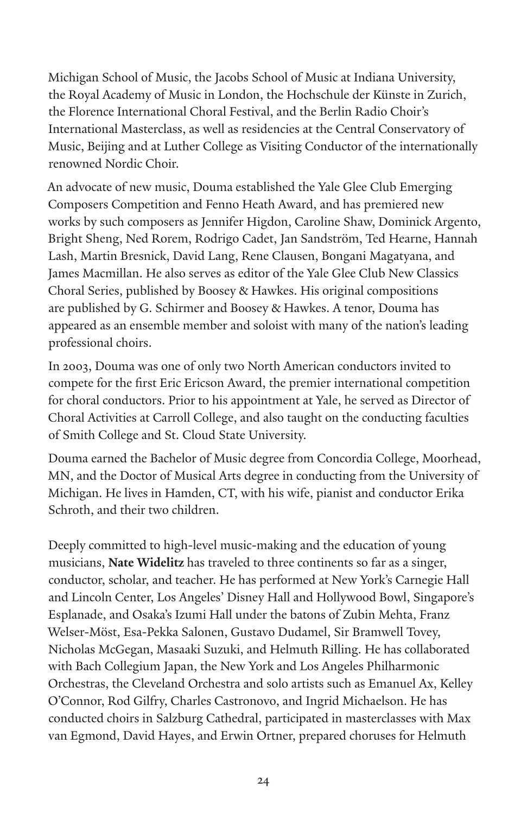Michigan School of Music, the Jacobs School of Music at Indiana University, the Royal Academy of Music in London, the Hochschule der Künste in Zurich, the Florence International Choral Festival, and the Berlin Radio Choir's International Masterclass, as well as residencies at the Central Conservatory of Music, Beijing and at Luther College as Visiting Conductor of the internationally renowned Nordic Choir.

An advocate of new music, Douma established the Yale Glee Club Emerging Composers Competition and Fenno Heath Award, and has premiered new works by such composers as Jennifer Higdon, Caroline Shaw, Dominick Argento, Bright Sheng, Ned Rorem, Rodrigo Cadet, Jan Sandström, Ted Hearne, Hannah Lash, Martin Bresnick, David Lang, Rene Clausen, Bongani Magatyana, and James Macmillan. He also serves as editor of the Yale Glee Club New Classics Choral Series, published by Boosey & Hawkes. His original compositions are published by G. Schirmer and Boosey & Hawkes. A tenor, Douma has appeared as an ensemble member and soloist with many of the nation's leading professional choirs.

In 2003, Douma was one of only two North American conductors invited to compete for the first Eric Ericson Award, the premier international competition for choral conductors. Prior to his appointment at Yale, he served as Director of Choral Activities at Carroll College, and also taught on the conducting faculties of Smith College and St. Cloud State University.

Douma earned the Bachelor of Music degree from Concordia College, Moorhead, MN, and the Doctor of Musical Arts degree in conducting from the University of Michigan. He lives in Hamden, CT, with his wife, pianist and conductor Erika Schroth, and their two children.

Deeply committed to high-level music-making and the education of young musicians, **Nate Widelitz** has traveled to three continents so far as a singer, conductor, scholar, and teacher. He has performed at New York's Carnegie Hall and Lincoln Center, Los Angeles' Disney Hall and Hollywood Bowl, Singapore's Esplanade, and Osaka's Izumi Hall under the batons of Zubin Mehta, Franz Welser-Möst, Esa-Pekka Salonen, Gustavo Dudamel, Sir Bramwell Tovey, Nicholas McGegan, Masaaki Suzuki, and Helmuth Rilling. He has collaborated with Bach Collegium Japan, the New York and Los Angeles Philharmonic Orchestras, the Cleveland Orchestra and solo artists such as Emanuel Ax, Kelley O'Connor, Rod Gilfry, Charles Castronovo, and Ingrid Michaelson. He has conducted choirs in Salzburg Cathedral, participated in masterclasses with Max van Egmond, David Hayes, and Erwin Ortner, prepared choruses for Helmuth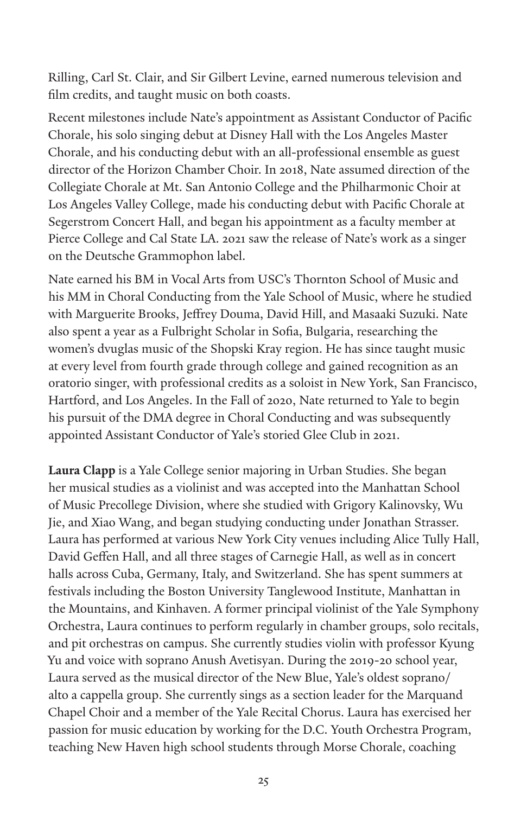Rilling, Carl St. Clair, and Sir Gilbert Levine, earned numerous television and film credits, and taught music on both coasts.

Recent milestones include Nate's appointment as Assistant Conductor of Pacific Chorale, his solo singing debut at Disney Hall with the Los Angeles Master Chorale, and his conducting debut with an all-professional ensemble as guest director of the Horizon Chamber Choir. In 2018, Nate assumed direction of the Collegiate Chorale at Mt. San Antonio College and the Philharmonic Choir at Los Angeles Valley College, made his conducting debut with Pacific Chorale at Segerstrom Concert Hall, and began his appointment as a faculty member at Pierce College and Cal State LA. 2021 saw the release of Nate's work as a singer on the Deutsche Grammophon label.

Nate earned his BM in Vocal Arts from USC's Thornton School of Music and his MM in Choral Conducting from the Yale School of Music, where he studied with Marguerite Brooks, Jeffrey Douma, David Hill, and Masaaki Suzuki. Nate also spent a year as a Fulbright Scholar in Sofia, Bulgaria, researching the women's dvuglas music of the Shopski Kray region. He has since taught music at every level from fourth grade through college and gained recognition as an oratorio singer, with professional credits as a soloist in New York, San Francisco, Hartford, and Los Angeles. In the Fall of 2020, Nate returned to Yale to begin his pursuit of the DMA degree in Choral Conducting and was subsequently appointed Assistant Conductor of Yale's storied Glee Club in 2021.

**Laura Clapp** is a Yale College senior majoring in Urban Studies. She began her musical studies as a violinist and was accepted into the Manhattan School of Music Precollege Division, where she studied with Grigory Kalinovsky, Wu Jie, and Xiao Wang, and began studying conducting under Jonathan Strasser. Laura has performed at various New York City venues including Alice Tully Hall, David Geffen Hall, and all three stages of Carnegie Hall, as well as in concert halls across Cuba, Germany, Italy, and Switzerland. She has spent summers at festivals including the Boston University Tanglewood Institute, Manhattan in the Mountains, and Kinhaven. A former principal violinist of the Yale Symphony Orchestra, Laura continues to perform regularly in chamber groups, solo recitals, and pit orchestras on campus. She currently studies violin with professor Kyung Yu and voice with soprano Anush Avetisyan. During the 2019-20 school year, Laura served as the musical director of the New Blue, Yale's oldest soprano/ alto a cappella group. She currently sings as a section leader for the Marquand Chapel Choir and a member of the Yale Recital Chorus. Laura has exercised her passion for music education by working for the D.C. Youth Orchestra Program, teaching New Haven high school students through Morse Chorale, coaching